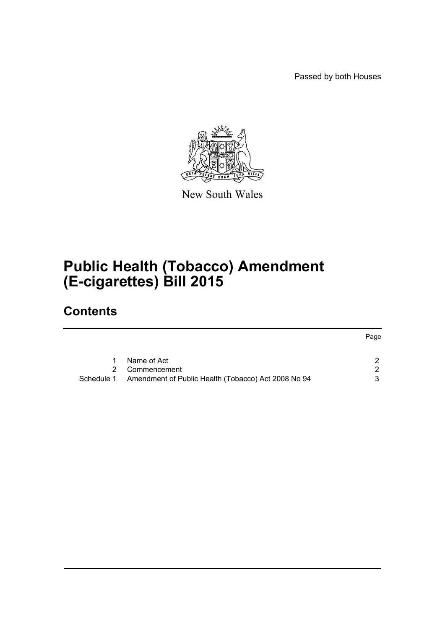Passed by both Houses



New South Wales

# **Public Health (Tobacco) Amendment (E-cigarettes) Bill 2015**

# **Contents**

|            |                                                     | Page |
|------------|-----------------------------------------------------|------|
|            |                                                     |      |
|            | Name of Act                                         |      |
| 2.         | Commencement                                        |      |
| Schedule 1 | Amendment of Public Health (Tobacco) Act 2008 No 94 |      |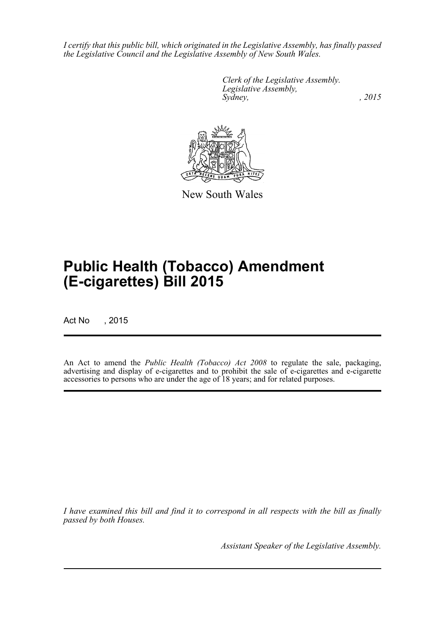*I certify that this public bill, which originated in the Legislative Assembly, has finally passed the Legislative Council and the Legislative Assembly of New South Wales.*

> *Clerk of the Legislative Assembly. Legislative Assembly, Sydney,* , 2015



New South Wales

# **Public Health (Tobacco) Amendment (E-cigarettes) Bill 2015**

Act No , 2015

An Act to amend the *Public Health (Tobacco) Act 2008* to regulate the sale, packaging, advertising and display of e-cigarettes and to prohibit the sale of e-cigarettes and e-cigarette accessories to persons who are under the age of 18 years; and for related purposes.

*I have examined this bill and find it to correspond in all respects with the bill as finally passed by both Houses.*

*Assistant Speaker of the Legislative Assembly.*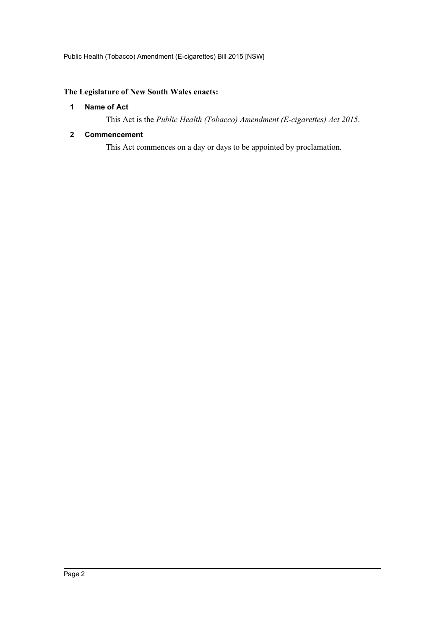# <span id="page-2-0"></span>**The Legislature of New South Wales enacts:**

# **1 Name of Act**

This Act is the *Public Health (Tobacco) Amendment (E-cigarettes) Act 2015*.

# <span id="page-2-1"></span>**2 Commencement**

This Act commences on a day or days to be appointed by proclamation.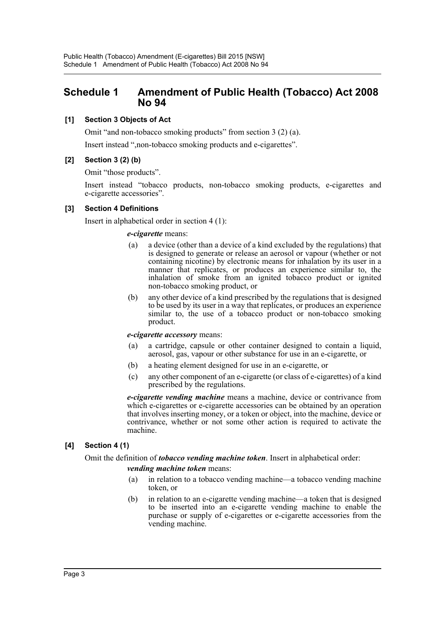# <span id="page-3-0"></span>**Schedule 1 Amendment of Public Health (Tobacco) Act 2008 No 94**

# **[1] Section 3 Objects of Act**

Omit "and non-tobacco smoking products" from section 3 (2) (a).

Insert instead ",non-tobacco smoking products and e-cigarettes".

# **[2] Section 3 (2) (b)**

Omit "those products".

Insert instead "tobacco products, non-tobacco smoking products, e-cigarettes and e-cigarette accessories".

## **[3] Section 4 Definitions**

Insert in alphabetical order in section 4 (1):

#### *e-cigarette* means:

- (a) a device (other than a device of a kind excluded by the regulations) that is designed to generate or release an aerosol or vapour (whether or not containing nicotine) by electronic means for inhalation by its user in a manner that replicates, or produces an experience similar to, the inhalation of smoke from an ignited tobacco product or ignited non-tobacco smoking product, or
- (b) any other device of a kind prescribed by the regulations that is designed to be used by its user in a way that replicates, or produces an experience similar to, the use of a tobacco product or non-tobacco smoking product.

## *e-cigarette accessory* means:

- (a) a cartridge, capsule or other container designed to contain a liquid, aerosol, gas, vapour or other substance for use in an e-cigarette, or
- (b) a heating element designed for use in an e-cigarette, or
- (c) any other component of an e-cigarette (or class of e-cigarettes) of a kind prescribed by the regulations.

*e-cigarette vending machine* means a machine, device or contrivance from which e-cigarettes or e-cigarette accessories can be obtained by an operation that involves inserting money, or a token or object, into the machine, device or contrivance, whether or not some other action is required to activate the machine.

# **[4] Section 4 (1)**

## Omit the definition of *tobacco vending machine token*. Insert in alphabetical order:

## *vending machine token* means:

- (a) in relation to a tobacco vending machine—a tobacco vending machine token, or
- (b) in relation to an e-cigarette vending machine—a token that is designed to be inserted into an e-cigarette vending machine to enable the purchase or supply of e-cigarettes or e-cigarette accessories from the vending machine.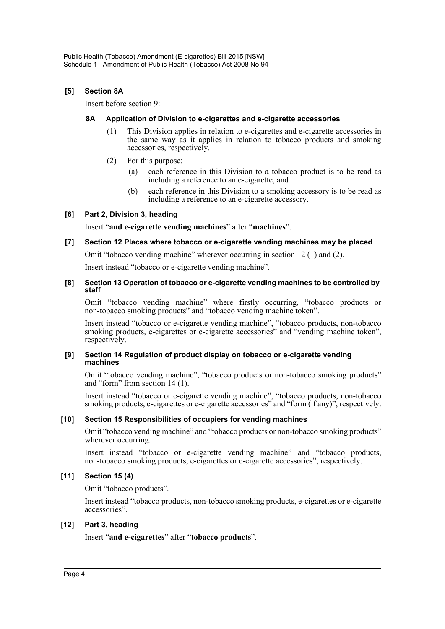# **[5] Section 8A**

Insert before section 9:

### **8A Application of Division to e-cigarettes and e-cigarette accessories**

- (1) This Division applies in relation to e-cigarettes and e-cigarette accessories in the same way as it applies in relation to tobacco products and smoking accessories, respectively.
- (2) For this purpose:
	- (a) each reference in this Division to a tobacco product is to be read as including a reference to an e-cigarette, and
	- (b) each reference in this Division to a smoking accessory is to be read as including a reference to an e-cigarette accessory.

## **[6] Part 2, Division 3, heading**

Insert "**and e-cigarette vending machines**" after "**machines**".

# **[7] Section 12 Places where tobacco or e-cigarette vending machines may be placed**

Omit "tobacco vending machine" wherever occurring in section 12 (1) and (2).

Insert instead "tobacco or e-cigarette vending machine".

#### **[8] Section 13 Operation of tobacco or e-cigarette vending machines to be controlled by staff**

Omit "tobacco vending machine" where firstly occurring, "tobacco products or non-tobacco smoking products" and "tobacco vending machine token".

Insert instead "tobacco or e-cigarette vending machine", "tobacco products, non-tobacco smoking products, e-cigarettes or e-cigarette accessories" and "vending machine token", respectively.

#### **[9] Section 14 Regulation of product display on tobacco or e-cigarette vending machines**

Omit "tobacco vending machine", "tobacco products or non-tobacco smoking products" and "form" from section 14 (1).

Insert instead "tobacco or e-cigarette vending machine", "tobacco products, non-tobacco smoking products, e-cigarettes or e-cigarette accessories" and "form (if any)", respectively.

## **[10] Section 15 Responsibilities of occupiers for vending machines**

Omit "tobacco vending machine" and "tobacco products or non-tobacco smoking products" wherever occurring.

Insert instead "tobacco or e-cigarette vending machine" and "tobacco products, non-tobacco smoking products, e-cigarettes or e-cigarette accessories", respectively.

## **[11] Section 15 (4)**

Omit "tobacco products".

Insert instead "tobacco products, non-tobacco smoking products, e-cigarettes or e-cigarette accessories".

## **[12] Part 3, heading**

Insert "**and e-cigarettes**" after "**tobacco products**".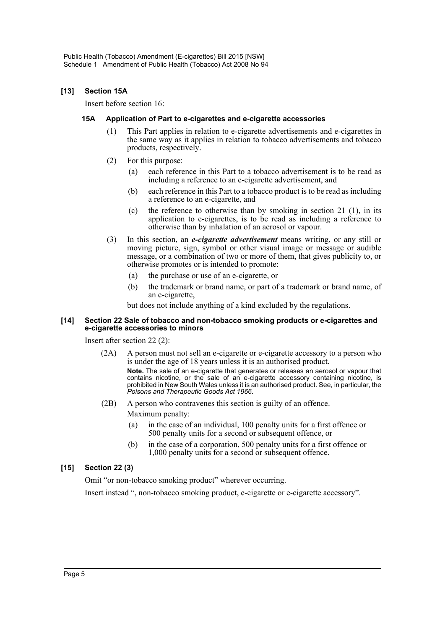# **[13] Section 15A**

Insert before section 16:

### **15A Application of Part to e-cigarettes and e-cigarette accessories**

- (1) This Part applies in relation to e-cigarette advertisements and e-cigarettes in the same way as it applies in relation to tobacco advertisements and tobacco products, respectively.
- (2) For this purpose:
	- (a) each reference in this Part to a tobacco advertisement is to be read as including a reference to an e-cigarette advertisement, and
	- (b) each reference in this Part to a tobacco product is to be read as including a reference to an e-cigarette, and
	- (c) the reference to otherwise than by smoking in section 21 (1), in its application to e-cigarettes, is to be read as including a reference to otherwise than by inhalation of an aerosol or vapour.
- (3) In this section, an *e-cigarette advertisement* means writing, or any still or moving picture, sign, symbol or other visual image or message or audible message, or a combination of two or more of them, that gives publicity to, or otherwise promotes or is intended to promote:
	- (a) the purchase or use of an e-cigarette, or
	- (b) the trademark or brand name, or part of a trademark or brand name, of an e-cigarette,

but does not include anything of a kind excluded by the regulations.

#### **[14] Section 22 Sale of tobacco and non-tobacco smoking products or e-cigarettes and e-cigarette accessories to minors**

Insert after section 22 (2):

(2A) A person must not sell an e-cigarette or e-cigarette accessory to a person who is under the age of 18 years unless it is an authorised product.

**Note.** The sale of an e-cigarette that generates or releases an aerosol or vapour that contains nicotine, or the sale of an e-cigarette accessory containing nicotine, is prohibited in New South Wales unless it is an authorised product. See, in particular, the *Poisons and Therapeutic Goods Act 1966*.

- (2B) A person who contravenes this section is guilty of an offence. Maximum penalty:
	- (a) in the case of an individual, 100 penalty units for a first offence or 500 penalty units for a second or subsequent offence, or
	- (b) in the case of a corporation, 500 penalty units for a first offence or 1,000 penalty units for a second or subsequent offence.

# **[15] Section 22 (3)**

Omit "or non-tobacco smoking product" wherever occurring.

Insert instead ", non-tobacco smoking product, e-cigarette or e-cigarette accessory".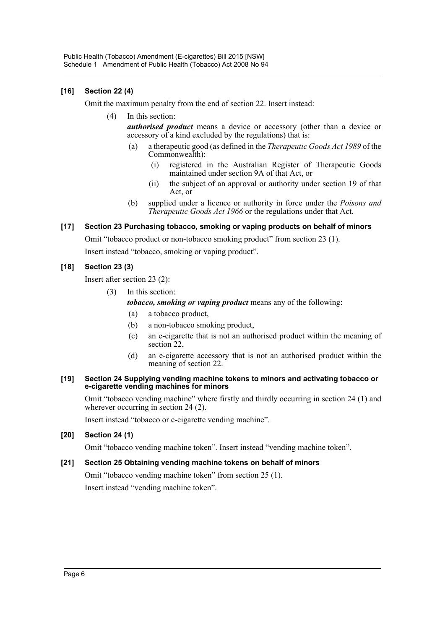# **[16] Section 22 (4)**

Omit the maximum penalty from the end of section 22. Insert instead:

(4) In this section:

*authorised product* means a device or accessory (other than a device or accessory of a kind excluded by the regulations) that is:

- (a) a therapeutic good (as defined in the *Therapeutic Goods Act 1989* of the Commonwealth):
	- (i) registered in the Australian Register of Therapeutic Goods maintained under section 9A of that Act, or
	- (ii) the subject of an approval or authority under section 19 of that Act, or
- (b) supplied under a licence or authority in force under the *Poisons and Therapeutic Goods Act 1966* or the regulations under that Act.

# **[17] Section 23 Purchasing tobacco, smoking or vaping products on behalf of minors**

Omit "tobacco product or non-tobacco smoking product" from section 23 (1).

Insert instead "tobacco, smoking or vaping product".

# **[18] Section 23 (3)**

Insert after section 23 (2):

(3) In this section:

*tobacco, smoking or vaping product* means any of the following:

- (a) a tobacco product,
- (b) a non-tobacco smoking product,
- (c) an e-cigarette that is not an authorised product within the meaning of section<sub>22</sub>,
- (d) an e-cigarette accessory that is not an authorised product within the meaning of section 22.

#### **[19] Section 24 Supplying vending machine tokens to minors and activating tobacco or e-cigarette vending machines for minors**

Omit "tobacco vending machine" where firstly and thirdly occurring in section 24 (1) and wherever occurring in section 24 (2).

Insert instead "tobacco or e-cigarette vending machine".

## **[20] Section 24 (1)**

Omit "tobacco vending machine token". Insert instead "vending machine token".

## **[21] Section 25 Obtaining vending machine tokens on behalf of minors**

Omit "tobacco vending machine token" from section 25 (1). Insert instead "vending machine token".